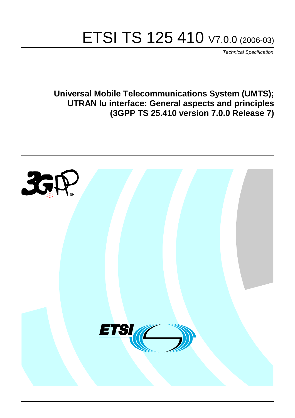# ETSI TS 125 410 V7.0.0 (2006-03)

Technical Specification

**Universal Mobile Telecommunications System (UMTS); UTRAN Iu interface: General aspects and principles (3GPP TS 25.410 version 7.0.0 Release 7)**

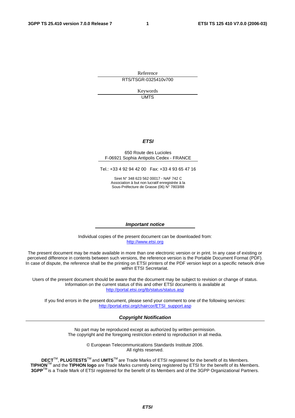Reference RTS/TSGR-0325410v700

> Keywords UMTS

#### **ETSI**

#### 650 Route des Lucioles F-06921 Sophia Antipolis Cedex - FRANCE

Tel.: +33 4 92 94 42 00 Fax: +33 4 93 65 47 16

Siret N° 348 623 562 00017 - NAF 742 C Association à but non lucratif enregistrée à la Sous-Préfecture de Grasse (06) N° 7803/88

#### **Important notice**

Individual copies of the present document can be downloaded from: [http://www.etsi.org](http://www.etsi.org/)

The present document may be made available in more than one electronic version or in print. In any case of existing or perceived difference in contents between such versions, the reference version is the Portable Document Format (PDF). In case of dispute, the reference shall be the printing on ETSI printers of the PDF version kept on a specific network drive within ETSI Secretariat.

Users of the present document should be aware that the document may be subject to revision or change of status. Information on the current status of this and other ETSI documents is available at <http://portal.etsi.org/tb/status/status.asp>

If you find errors in the present document, please send your comment to one of the following services: [http://portal.etsi.org/chaircor/ETSI\\_support.asp](http://portal.etsi.org/chaircor/ETSI_support.asp)

#### **Copyright Notification**

No part may be reproduced except as authorized by written permission. The copyright and the foregoing restriction extend to reproduction in all media.

> © European Telecommunications Standards Institute 2006. All rights reserved.

**DECT**TM, **PLUGTESTS**TM and **UMTS**TM are Trade Marks of ETSI registered for the benefit of its Members. **TIPHON**TM and the **TIPHON logo** are Trade Marks currently being registered by ETSI for the benefit of its Members. **3GPP**TM is a Trade Mark of ETSI registered for the benefit of its Members and of the 3GPP Organizational Partners.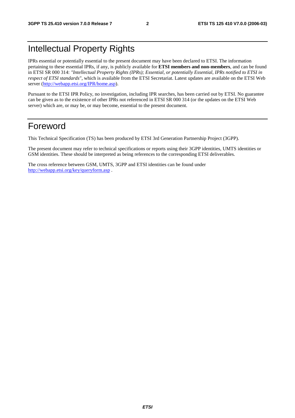# Intellectual Property Rights

IPRs essential or potentially essential to the present document may have been declared to ETSI. The information pertaining to these essential IPRs, if any, is publicly available for **ETSI members and non-members**, and can be found in ETSI SR 000 314: *"Intellectual Property Rights (IPRs); Essential, or potentially Essential, IPRs notified to ETSI in respect of ETSI standards"*, which is available from the ETSI Secretariat. Latest updates are available on the ETSI Web server ([http://webapp.etsi.org/IPR/home.asp\)](http://webapp.etsi.org/IPR/home.asp).

Pursuant to the ETSI IPR Policy, no investigation, including IPR searches, has been carried out by ETSI. No guarantee can be given as to the existence of other IPRs not referenced in ETSI SR 000 314 (or the updates on the ETSI Web server) which are, or may be, or may become, essential to the present document.

# Foreword

This Technical Specification (TS) has been produced by ETSI 3rd Generation Partnership Project (3GPP).

The present document may refer to technical specifications or reports using their 3GPP identities, UMTS identities or GSM identities. These should be interpreted as being references to the corresponding ETSI deliverables.

The cross reference between GSM, UMTS, 3GPP and ETSI identities can be found under <http://webapp.etsi.org/key/queryform.asp>.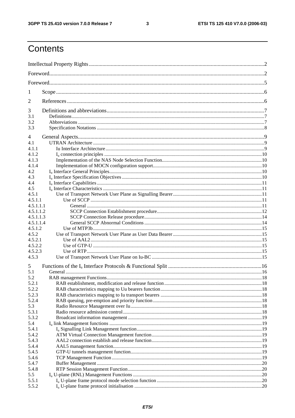$\mathbf{3}$ 

# Contents

| 1              |  |  |  |  |  |  |  |
|----------------|--|--|--|--|--|--|--|
| 2              |  |  |  |  |  |  |  |
| 3              |  |  |  |  |  |  |  |
| 3.1            |  |  |  |  |  |  |  |
| 3.2            |  |  |  |  |  |  |  |
| 3.3            |  |  |  |  |  |  |  |
| 4              |  |  |  |  |  |  |  |
| 4.1            |  |  |  |  |  |  |  |
| 4.1.1          |  |  |  |  |  |  |  |
| 4.1.2          |  |  |  |  |  |  |  |
| 4.1.3<br>4.1.4 |  |  |  |  |  |  |  |
| 4.2            |  |  |  |  |  |  |  |
| 4.3            |  |  |  |  |  |  |  |
| 4.4            |  |  |  |  |  |  |  |
| 4.5            |  |  |  |  |  |  |  |
| 4.5.1          |  |  |  |  |  |  |  |
| 4.5.1.1        |  |  |  |  |  |  |  |
| 4.5.1.1.1      |  |  |  |  |  |  |  |
| 4.5.1.1.2      |  |  |  |  |  |  |  |
| 4.5.1.1.3      |  |  |  |  |  |  |  |
| 4.5.1.1.4      |  |  |  |  |  |  |  |
| 4.5.1.2        |  |  |  |  |  |  |  |
| 4.5.2          |  |  |  |  |  |  |  |
| 4.5.2.1        |  |  |  |  |  |  |  |
| 4.5.2.2        |  |  |  |  |  |  |  |
| 4.5.2.3        |  |  |  |  |  |  |  |
| 4.5.3          |  |  |  |  |  |  |  |
| 5<br>5.1       |  |  |  |  |  |  |  |
| 5.2            |  |  |  |  |  |  |  |
|                |  |  |  |  |  |  |  |
| 5.2.1<br>5.2.2 |  |  |  |  |  |  |  |
| 5.2.3          |  |  |  |  |  |  |  |
| 5.2.4          |  |  |  |  |  |  |  |
| 5.3            |  |  |  |  |  |  |  |
| 5.3.1          |  |  |  |  |  |  |  |
| 5.3.2          |  |  |  |  |  |  |  |
| 5.4            |  |  |  |  |  |  |  |
| 5.4.1          |  |  |  |  |  |  |  |
| 5.4.2          |  |  |  |  |  |  |  |
| 5.4.3          |  |  |  |  |  |  |  |
| 5.4.4          |  |  |  |  |  |  |  |
| 5.4.5          |  |  |  |  |  |  |  |
| 5.4.6          |  |  |  |  |  |  |  |
| 5.4.7          |  |  |  |  |  |  |  |
| 5.4.8          |  |  |  |  |  |  |  |
| 5.5            |  |  |  |  |  |  |  |
| 5.5.1          |  |  |  |  |  |  |  |
| 5.5.2          |  |  |  |  |  |  |  |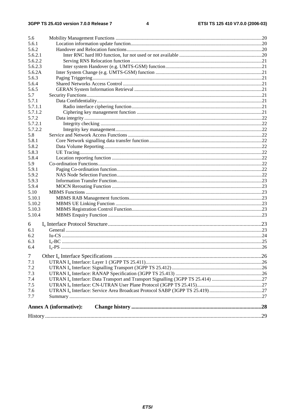|                | <b>Annex A (informative):</b> |  |
|----------------|-------------------------------|--|
| 7.7            |                               |  |
| 7.6            |                               |  |
| 7.5            |                               |  |
| 7.4            |                               |  |
| 7.3            |                               |  |
| 7.2            |                               |  |
| 7.1            |                               |  |
| $\overline{7}$ |                               |  |
| 6.4            |                               |  |
| 6.3            |                               |  |
| 6.2            |                               |  |
| 6.1            |                               |  |
| 6              |                               |  |
|                |                               |  |
| 5.10.4         |                               |  |
| 5.10.3         |                               |  |
| 5.10.2         |                               |  |
| 5.10.1         |                               |  |
| 5.10           |                               |  |
| 5.9.4          |                               |  |
| 5.9.3          |                               |  |
| 5.9.2          |                               |  |
| 5.9.1          |                               |  |
| 5.9            |                               |  |
| 5.8.4          |                               |  |
| 5.8.3          |                               |  |
| 5.8.2          |                               |  |
| 5.8.1          |                               |  |
| 5.8            |                               |  |
| 5.7.2.2        |                               |  |
| 5.7.2.1        |                               |  |
| 5.7.2          |                               |  |
| 5.7.1.2        |                               |  |
| 5.7.1.1        |                               |  |
| 5.7.1          |                               |  |
| 5.7            |                               |  |
| 5.6.5          |                               |  |
| 5.6.4          |                               |  |
| 5.6.3          |                               |  |
| 5.6.2A         |                               |  |
| 5.6.2.3        |                               |  |
| 5.6.2.2        |                               |  |
| 5.6.2.1        |                               |  |
| 5.6.2          |                               |  |
| 5.6.1          |                               |  |
| 5.6            |                               |  |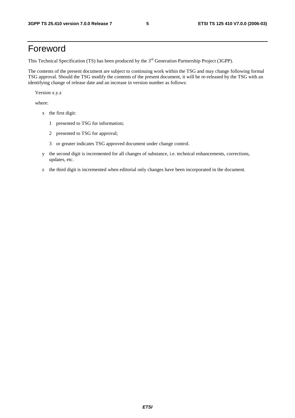# Foreword

This Technical Specification (TS) has been produced by the 3<sup>rd</sup> Generation Partnership Project (3GPP).

The contents of the present document are subject to continuing work within the TSG and may change following formal TSG approval. Should the TSG modify the contents of the present document, it will be re-released by the TSG with an identifying change of release date and an increase in version number as follows:

Version x.y.z

where:

- x the first digit:
	- 1 presented to TSG for information;
	- 2 presented to TSG for approval;
	- 3 or greater indicates TSG approved document under change control.
- y the second digit is incremented for all changes of substance, i.e. technical enhancements, corrections, updates, etc.
- z the third digit is incremented when editorial only changes have been incorporated in the document.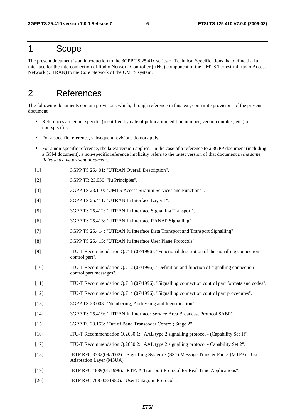### 1 Scope

The present document is an introduction to the 3GPP TS 25.41x series of Technical Specifications that define the Iu interface for the interconnection of Radio Network Controller (RNC) component of the UMTS Terrestrial Radio Access Network (UTRAN) to the Core Network of the UMTS system.

# 2 References

The following documents contain provisions which, through reference in this text, constitute provisions of the present document.

- References are either specific (identified by date of publication, edition number, version number, etc.) or non-specific.
- For a specific reference, subsequent revisions do not apply.
- For a non-specific reference, the latest version applies. In the case of a reference to a 3GPP document (including a GSM document), a non-specific reference implicitly refers to the latest version of that document *in the same Release as the present document*.
- [1] 3GPP TS 25.401: "UTRAN Overall Description".
- [2] 3GPP TR 23.930: "Iu Principles".
- [3] 3GPP TS 23.110: "UMTS Access Stratum Services and Functions".
- [4] 3GPP TS 25.411: "UTRAN Iu Interface Layer 1".
- [5] 3GPP TS 25.412: "UTRAN Iu Interface Signalling Transport".
- [6] 3GPP TS 25.413: "UTRAN Iu Interface RANAP Signalling".
- [7] 3GPP TS 25.414: "UTRAN Iu Interface Data Transport and Transport Signalling"
- [8] 3GPP TS 25.415: "UTRAN Iu Interface User Plane Protocols".
- [9] ITU-T Recommendation Q.711 (07/1996): "Functional description of the signalling connection control part".
- [10] ITU-T Recommendation Q.712 (07/1996): "Definition and function of signalling connection control part messages".
- [11] ITU-T Recommendation Q.713 (07/1996): "Signalling connection control part formats and codes".
- [12] ITU-T Recommendation Q.714 (07/1996): "Signalling connection control part procedures".
- [13] 3GPP TS 23.003: "Numbering, Addressing and Identification".
- [14] 3GPP TS 25.419: "UTRAN Iu Interface: Service Area Broadcast Protocol SABP".
- [15] 3GPP TS 23.153: "Out of Band Transcoder Control; Stage 2".
- [16] ITU-T Recommendation Q.2630.1: "AAL type 2 signalling protocol (Capability Set 1)".
- [17] ITU-T Recommendation Q.2630.2: "AAL type 2 signalling protocol Capability Set 2".
- [18] IETF RFC 3332(09/2002): "Signalling System 7 (SS7) Message Transfer Part 3 (MTP3) User Adaptation Layer (M3UA)"
- [19] IETF RFC 1889(01/1996): "RTP: A Transport Protocol for Real Time Applications".
- [20] IETF RFC 768 (08/1980): "User Datagram Protocol".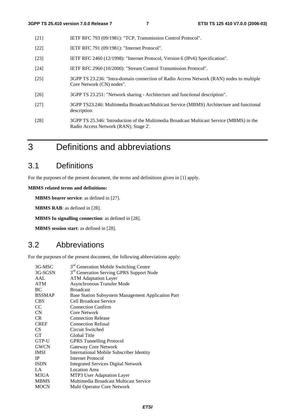- [21] IETF RFC 793 (09/1981): "TCP, Transmission Control Protocol".
- [22] **IETF RFC 791 (09/1981): "Internet Protocol".**
- [23] IETF RFC 2460 (12/1998): "Internet Protocol, Version 6 (IPv6) Specification".
- [24] IETF RFC 2960 (10/2000): "Stream Control Transmission Protocol".
- [25] 3GPP TS 23.236: "Intra-domain connection of Radio Access Network (RAN) nodes to multiple Core Network (CN) nodes".
- [26] 3GPP TS 23.251: "Network sharing Architecture and functional description".
- [27] 3GPP TS23.246: Multimedia Broadcast/Multicast Service (MBMS) Architecture and functional description
- [28] 3GPP TS 25.346: 'Introduction of the Multimedia Broadcast Multicast Service (MBMS) in the Radio Access Network (RAN); Stage 2'.
- 3 Definitions and abbreviations

# 3.1 Definitions

For the purposes of the present document, the terms and definitions given in [1] apply.

**MBMS related terms and definitions:** 

**MBMS bearer service**: as defined in [27].

**MBMS RAB**: as defined in [28].

**MBMS Iu signalling connection**: as defined in [28].

**MBMS session start**: as defined in [28].

### 3.2 Abbreviations

For the purposes of the present document, the following abbreviations apply:

| 3G-MSC          | 3 <sup>rd</sup> Generation Mobile Switching Centre   |
|-----------------|------------------------------------------------------|
| 3G-SGSN         | 3 <sup>rd</sup> Generation Serving GPRS Support Node |
| AAL             | <b>ATM Adaptation Layer</b>                          |
| <b>ATM</b>      | <b>Asynchronous Transfer Mode</b>                    |
| BC              | <b>Broadcast</b>                                     |
| <b>BSSMAP</b>   | Base Station Subsystem Management Application Part   |
| <b>CBS</b>      | <b>Cell Broadcast Service</b>                        |
| <sub>CC</sub>   | <b>Connection Confirm</b>                            |
| CN              | Core Network                                         |
| <b>CR</b>       | <b>Connection Release</b>                            |
| <b>CREF</b>     | <b>Connection Refusal</b>                            |
| CS <sup>-</sup> | Circuit Switched                                     |
| <b>GT</b>       | Global Title                                         |
| GTP-U           | <b>GPRS</b> Tunnelling Protocol                      |
| <b>GWCN</b>     | Gateway Core Network                                 |
| <b>IMSI</b>     | <b>International Mobile Subscriber Identity</b>      |
| IP              | Internet Protocol                                    |
| <b>ISDN</b>     | <b>Integrated Services Digital Network</b>           |
| LA              | <b>Location Area</b>                                 |
| M3UA            | MTP3 User Adaptation Layer                           |
| <b>MBMS</b>     | Multimedia Broadcast Multicast Service               |
| <b>MOCN</b>     | Multi Operator Core Network                          |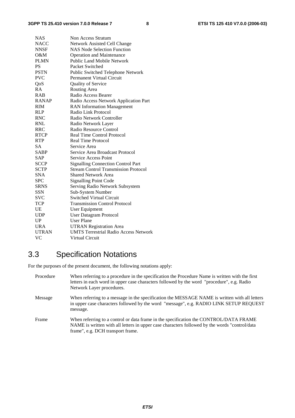| <b>NAS</b>   | Non Access Stratum                           |
|--------------|----------------------------------------------|
| <b>NACC</b>  | Network Assisted Cell Change                 |
| <b>NNSF</b>  | <b>NAS Node Selection Function</b>           |
| O&M          | <b>Operation and Maintenance</b>             |
| <b>PLMN</b>  | Public Land Mobile Network                   |
| <b>PS</b>    | Packet Switched                              |
| <b>PSTN</b>  | Public Switched Telephone Network            |
| <b>PVC</b>   | Permanent Virtual Circuit                    |
| QoS          | Quality of Service                           |
| RA           | Routing Area                                 |
| <b>RAB</b>   | Radio Access Bearer                          |
| <b>RANAP</b> | Radio Access Network Application Part        |
| <b>RIM</b>   | <b>RAN</b> Information Management            |
| RLP          | Radio Link Protocol                          |
| <b>RNC</b>   | Radio Network Controller                     |
| <b>RNL</b>   | Radio Network Layer                          |
| RRC          | Radio Resource Control                       |
| <b>RTCP</b>  | <b>Real Time Control Protocol</b>            |
| <b>RTP</b>   | <b>Real Time Protocol</b>                    |
| <b>SA</b>    | Service Area                                 |
| <b>SABP</b>  | Service Area Broadcast Protocol              |
| <b>SAP</b>   | <b>Service Access Point</b>                  |
| <b>SCCP</b>  | <b>Signalling Connection Control Part</b>    |
| <b>SCTP</b>  | <b>Stream Control Transmission Protocol</b>  |
| <b>SNA</b>   | <b>Shared Network Area</b>                   |
| <b>SPC</b>   | <b>Signalling Point Code</b>                 |
| <b>SRNS</b>  | Serving Radio Network Subsystem              |
| <b>SSN</b>   | Sub-System Number                            |
| SVC          | <b>Switched Virtual Circuit</b>              |
| <b>TCP</b>   | <b>Transmission Control Protocol</b>         |
| UE           | User Equipment                               |
| <b>UDP</b>   | User Datagram Protocol                       |
| UP           | <b>User Plane</b>                            |
| <b>URA</b>   | <b>UTRAN Registration Area</b>               |
| <b>UTRAN</b> | <b>UMTS Terrestrial Radio Access Network</b> |
| VC           | Virtual Circuit                              |

# 3.3 Specification Notations

For the purposes of the present document, the following notations apply:

| Procedure | When referring to a procedure in the specification the Procedure Name is written with the first<br>letters in each word in upper case characters followed by the word "procedure", e.g. Radio<br>Network Layer procedures.   |
|-----------|------------------------------------------------------------------------------------------------------------------------------------------------------------------------------------------------------------------------------|
| Message   | When referring to a message in the specification the MESSAGE NAME is written with all letters<br>in upper case characters followed by the word "message", e.g. RADIO LINK SETUP REQUEST<br>message.                          |
| Frame     | When referring to a control or data frame in the specification the CONTROL/DATA FRAME<br>NAME is written with all letters in upper case characters followed by the words "control/data"<br>frame", e.g. DCH transport frame. |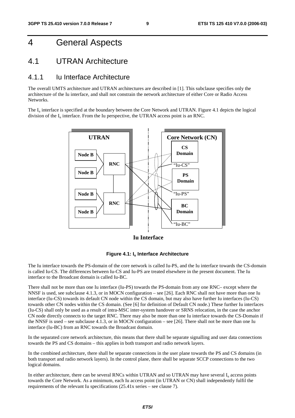# 4 General Aspects

### 4.1 UTRAN Architecture

#### 4.1.1 Iu Interface Architecture

The overall UMTS architecture and UTRAN architectures are described in [1]. This subclause specifies only the architecture of the Iu interface, and shall not constrain the network architecture of either Core or Radio Access Networks.

The  $I_{\text{u}}$  interface is specified at the boundary between the Core Network and UTRAN. Figure 4.1 depicts the logical division of the  $I_u$  interface. From the Iu perspective, the UTRAN access point is an RNC.



**Iu Interface**



The Iu interface towards the PS-domain of the core network is called Iu-PS, and the Iu interface towards the CS-domain is called Iu-CS. The differences between Iu-CS and Iu-PS are treated elsewhere in the present document. The Iu interface to the Broadcast domain is called Iu-BC.

There shall not be more than one Iu interface (Iu-PS) towards the PS-domain from any one RNC– except where the NNSF is used, see subclause 4.1.3, or in MOCN configuration – see [26]. Each RNC shall not have more than one Iu interface (Iu-CS) towards its default CN node within the CS domain, but may also have further Iu interfaces (Iu-CS) towards other CN nodes within the CS domain. (See [6] for definition of Default CN node.) These further Iu interfaces (Iu-CS) shall only be used as a result of intra-MSC inter-system handover or SRNS relocation, in the case the anchor CN node directly connects to the target RNC. There may also be more than one Iu interface towards the CS-Domain if the NNSF is used – see subclause 4.1.3, or in MOCN configuration – see [26]. There shall not be more than one Iu interface (Iu-BC) from an RNC towards the Broadcast domain.

In the separated core network architecture, this means that there shall be separate signalling and user data connections towards the PS and CS domains – this applies in both transport and radio network layers.

In the combined architecture, there shall be separate connections in the user plane towards the PS and CS domains (in both transport and radio network layers). In the control plane, there shall be separate SCCP connections to the two logical domains.

In either architecture, there can be several RNCs within UTRAN and so UTRAN may have several  $I<sub>u</sub>$  access points towards the Core Network. As a minimum, each Iu access point (in UTRAN or CN) shall independently fulfil the requirements of the relevant Iu specifications (25.41x series – see clause 7).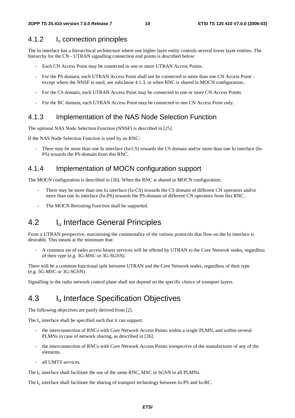#### 4.1.2 Iu connection principles

The Iu interface has a hierarchical architecture where one higher layer entity controls several lower layer entities. The hierarchy for the CN - UTRAN signalling connection end points is described below:

- Each CN Access Point may be connected to one or more UTRAN Access Points.
- For the PS domain, each UTRAN Access Point shall not be connected to more than one CN Access Point except where the NNSF is used, see subclause 4.1.3, or when RNC is shared in MOCN configuration..
- For the CS domain, each UTRAN Access Point may be connected to one or more CN Access Points.
- For the BC domain, each UTRAN Access Point may be connected to one CN Access Point only.

#### 4.1.3 Implementation of the NAS Node Selection Function

The optional NAS Node Selection Function (NNSF) is described in [25].

If the NAS Node Selection Function is used by an RNC:

There may be more than one Iu interface (Iu-CS) towards the CS domain and/or more than one Iu interface (Iu-PS) towards the PS-domain from this RNC.

#### 4.1.4 Implementation of MOCN configuration support

The MOCN configuration is described in [26]. When the RNC is shared in MOCN configuration:

- There may be more than one Iu interface (Iu-CS) towards the CS domain of different CN operators and/or more than one Iu interface (Iu-PS) towards the PS-domain of different CN operators from this RNC.
- The MOCN Rerouting Function shall be supported.

### 4.2 I<sub>u</sub> Interface General Principles

From a UTRAN perspective, maximising the commonality of the various protocols that flow on the Iu interface is desirable. This means at the minimum that:

- A common set of radio access bearer services will be offered by UTRAN to the Core Network nodes, regardless of their type (e.g. 3G-MSC or 3G-SGSN).

There will be a common functional split between UTRAN and the Core Network nodes, regardless of their type (e.g. 3G-MSC or 3G-SGSN).

Signalling in the radio network control plane shall not depend on the specific choice of transport layers.

### 4.3 I<sub>u</sub> Interface Specification Objectives

The following objectives are partly derived from [2].

The  $I_{\nu}$  interface shall be specified such that it can support:

- the interconnection of RNCs with Core Network Access Points within a single PLMN, and within several PLMNs in case of network sharing, as described in [26].
- the interconnection of RNCs with Core Network Access Points irrespective of the manufacturer of any of the elements.
- all UMTS services.

The  $I<sub>u</sub>$  interface shall facilitate the use of the same RNC, MSC or SGSN in all PLMNs.

The I<sub>u</sub> interface shall facilitate the sharing of transport technology between Iu-PS and Iu-BC.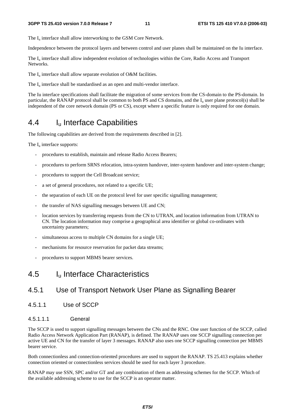The  $I_{\text{u}}$  interface shall allow interworking to the GSM Core Network.

Independence between the protocol layers and between control and user planes shall be maintained on the Iu interface.

The I<sub>u</sub> interface shall allow independent evolution of technologies within the Core, Radio Access and Transport Networks.

The  $I_u$  interface shall allow separate evolution of O&M facilities.

The  $I_{\text{u}}$  interface shall be standardised as an open and multi-vendor interface.

The Iu interface specifications shall facilitate the migration of some services from the CS-domain to the PS-domain. In particular, the RANAP protocol shall be common to both PS and CS domains, and the  $I<sub>u</sub>$  user plane protocol(s) shall be independent of the core network domain (PS or CS), except where a specific feature is only required for one domain.

# 4.4 Iu Interface Capabilities

The following capabilities are derived from the requirements described in [2].

The  $I_{\text{u}}$  interface supports:

- procedures to establish, maintain and release Radio Access Bearers;
- procedures to perform SRNS relocation, intra-system handover, inter-system handover and inter-system change;
- procedures to support the Cell Broadcast service;
- a set of general procedures, not related to a specific UE;
- the separation of each UE on the protocol level for user specific signalling management;
- the transfer of NAS signalling messages between UE and CN;
- location services by transferring requests from the CN to UTRAN, and location information from UTRAN to CN. The location information may comprise a geographical area identifier or global co-ordinates with uncertainty parameters;
- simultaneous access to multiple CN domains for a single UE;
- mechanisms for resource reservation for packet data streams;
- procedures to support MBMS bearer services.

### 4.5 Iu Interface Characteristics

#### 4.5.1 Use of Transport Network User Plane as Signalling Bearer

4.5.1.1 Use of SCCP

#### 4.5.1.1.1 General

The SCCP is used to support signalling messages between the CNs and the RNC. One user function of the SCCP, called Radio Access Network Application Part (RANAP), is defined. The RANAP uses one SCCP signalling connection per active UE and CN for the transfer of layer 3 messages. RANAP also uses one SCCP signalling connection per MBMS bearer service.

Both connectionless and connection-oriented procedures are used to support the RANAP. TS 25.413 explains whether connection oriented or connectionless services should be used for each layer 3 procedure.

RANAP may use SSN, SPC and/or GT and any combination of them as addressing schemes for the SCCP. Which of the available addressing scheme to use for the SCCP is an operator matter.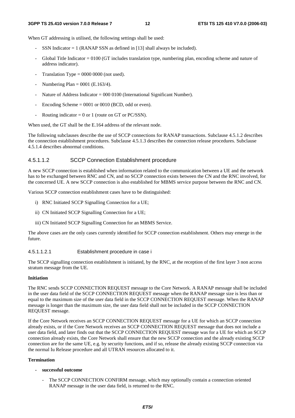When GT addressing is utilised, the following settings shall be used:

- SSN Indicator  $= 1$  (RANAP SSN as defined in [13] shall always be included).
- Global Title Indicator = 0100 (GT includes translation type, numbering plan, encoding scheme and nature of address indicator).
- Translation Type =  $0000 0000$  (not used).
- Numbering Plan =  $0001$  (E.163/4).
- Nature of Address Indicator = 000 0100 (International Significant Number).
- Encoding Scheme  $= 0001$  or 0010 (BCD, odd or even).
- Routing indicator = 0 or 1 (route on GT or PC/SSN).

When used, the GT shall be the E.164 address of the relevant node.

The following subclauses describe the use of SCCP connections for RANAP transactions. Subclause 4.5.1.2 describes the connection establishment procedures. Subclause 4.5.1.3 describes the connection release procedures. Subclause 4.5.1.4 describes abnormal conditions.

#### 4.5.1.1.2 SCCP Connection Establishment procedure

A new SCCP connection is established when information related to the communication between a UE and the network has to be exchanged between RNC and CN, and no SCCP connection exists between the CN and the RNC involved, for the concerned UE. A new SCCP connection is also established for MBMS service purpose between the RNC and CN.

Various SCCP connection establishment cases have to be distinguished:

- i) RNC Initiated SCCP Signalling Connection for a UE;
- ii) CN Initiated SCCP Signalling Connection for a UE;
- iii) CN Initiated SCCP Signalling Connection for an MBMS Service.

The above cases are the only cases currently identified for SCCP connection establishment. Others may emerge in the future.

#### 4.5.1.1.2.1 Establishment procedure in case i

The SCCP signalling connection establishment is initiated, by the RNC, at the reception of the first layer 3 non access stratum message from the UE.

#### **Initiation**

The RNC sends SCCP CONNECTION REQUEST message to the Core Network. A RANAP message shall be included in the user data field of the SCCP CONNECTION REQUEST message when the RANAP message size is less than or equal to the maximum size of the user data field in the SCCP CONNECTION REQUEST message. When the RANAP message is longer than the maximum size, the user data field shall not be included in the SCCP CONNECTION REQUEST message.

If the Core Network receives an SCCP CONNECTION REQUEST message for a UE for which an SCCP connection already exists, or if the Core Network receives an SCCP CONNECTION REQUEST message that does not include a user data field, and later finds out that the SCCP CONNECTION REQUEST message was for a UE for which an SCCP connection already exists, the Core Network shall ensure that the new SCCP connection and the already existing SCCP connection are for the same UE, e.g. by security functions, and if so, release the already existing SCCP connection via the normal Iu Release procedure and all UTRAN resources allocated to it.

#### **Termination**

- **successful outcome** 
	- The SCCP CONNECTION CONFIRM message, which may optionally contain a connection oriented RANAP message in the user data field, is returned to the RNC.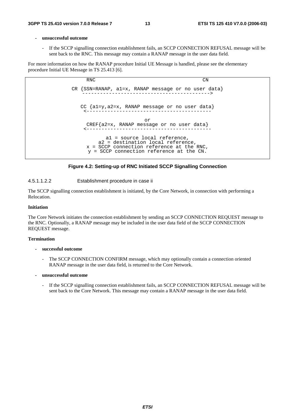#### **- unsuccessful outcome**

If the SCCP signalling connection establishment fails, an SCCP CONNECTION REFUSAL message will be sent back to the RNC. This message may contain a RANAP message in the user data field.

For more information on how the RANAP procedure Initial UE Message is handled, please see the elementary procedure Initial UE Message in TS 25.413 [6].





#### 4.5.1.1.2.2 Establishment procedure in case ii

The SCCP signalling connection establishment is initiated, by the Core Network, in connection with performing a Relocation.

#### **Initiation**

The Core Network initiates the connection establishment by sending an SCCP CONNECTION REQUEST message to the RNC. Optionally, a RANAP message may be included in the user data field of the SCCP CONNECTION REQUEST message.

#### **Termination**

#### **- successful outcome**

The SCCP CONNECTION CONFIRM message, which may optionally contain a connection oriented RANAP message in the user data field, is returned to the Core Network.

#### **- unsuccessful outcome**

- If the SCCP signalling connection establishment fails, an SCCP CONNECTION REFUSAL message will be sent back to the Core Network. This message may contain a RANAP message in the user data field.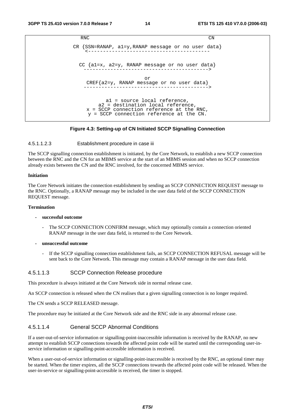```
RNC CN
CR {SSN=RANAP, a1=y,RANAP message or no user data} 
    <----------------------------------------- 
 CC {a1=x, a2=y, RANAP message or no user data} 
   ------------------------------------------> 
                      or 
   CREF{a2=y, RANAP message or no user data} 
   ------------------------------------------> 
          a1 = source local reference, 
        a2 = destination local reference, 
    x = SCCP connection reference at the RNC, 
    y = SCCP connection reference at the CN.
```
#### **Figure 4.3: Setting-up of CN Initiated SCCP Signalling Connection**

#### 4.5.1.1.2.3 Establishment procedure in case iii

The SCCP signalling connection establishment is initiated, by the Core Network, to establish a new SCCP connection between the RNC and the CN for an MBMS service at the start of an MBMS session and when no SCCP connection already exists between the CN and the RNC involved, for the concerned MBMS service.

#### **Initiation**

The Core Network initiates the connection establishment by sending an SCCP CONNECTION REQUEST message to the RNC. Optionally, a RANAP message may be included in the user data field of the SCCP CONNECTION REQUEST message.

#### **Termination**

#### **- successful outcome**

- The SCCP CONNECTION CONFIRM message, which may optionally contain a connection oriented RANAP message in the user data field, is returned to the Core Network.
- **unsuccessful outcome** 
	- If the SCCP signalling connection establishment fails, an SCCP CONNECTION REFUSAL message will be sent back to the Core Network. This message may contain a RANAP message in the user data field.

#### 4.5.1.1.3 SCCP Connection Release procedure

This procedure is always initiated at the Core Network side in normal release case.

An SCCP connection is released when the CN realises that a given signalling connection is no longer required.

The CN sends a SCCP RELEASED message.

The procedure may be initiated at the Core Network side and the RNC side in any abnormal release case.

#### 4.5.1.1.4 General SCCP Abnormal Conditions

If a user-out-of-service information or signalling-point-inaccessible information is received by the RANAP, no new attempt to establish SCCP connections towards the affected point code will be started until the corresponding user-inservice information or signalling-point-accessible information is received.

When a user-out-of-service information or signalling-point-inaccessible is received by the RNC, an optional timer may be started. When the timer expires, all the SCCP connections towards the affected point code will be released. When the user-in-service or signalling-point-accessible is received, the timer is stopped.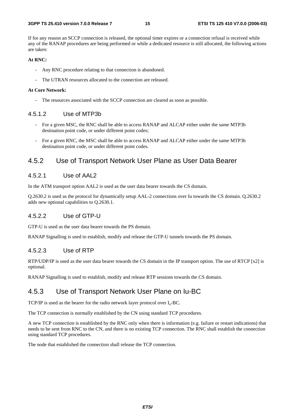If for any reason an SCCP connection is released, the optional timer expires or a connection refusal is received while any of the RANAP procedures are being performed or while a dedicated resource is still allocated, the following actions are taken:

#### **At RNC:**

- Any RNC procedure relating to that connection is abandoned.
- The UTRAN resources allocated to the connection are released.

#### **At Core Network:**

The resources associated with the SCCP connection are cleared as soon as possible.

#### 4.5.1.2 Use of MTP3b

- For a given MSC, the RNC shall be able to access RANAP and ALCAP either under the same MTP3b destination point code, or under different point codes;
- For a given RNC, the MSC shall be able to access RANAP and ALCAP either under the same MTP3b destination point code, or under different point codes.

#### 4.5.2 Use of Transport Network User Plane as User Data Bearer

#### 4.5.2.1 Use of AAL2

In the ATM transport option AAL2 is used as the user data bearer towards the CS domain.

Q.2630.2 is used as the protocol for dynamically setup AAL-2 connections over Iu towards the CS domain. Q.2630.2 adds new optional capabilities to Q.2630.1.

#### 4.5.2.2 Use of GTP-U

GTP-U is used as the user data bearer towards the PS domain.

RANAP Signalling is used to establish, modify and release the GTP-U tunnels towards the PS domain.

#### 4.5.2.3 Use of RTP

RTP/UDP/IP is used as the user data bearer towards the CS domain in the IP transport option. The use of RTCP [x2] is optional.

RANAP Signalling is used to establish, modify and release RTP sessions towards the CS domain.

#### 4.5.3 Use of Transport Network User Plane on Iu-BC

TCP/IP is used as the bearer for the radio network layer protocol over  $I_u$ -BC.

The TCP connection is normally established by the CN using standard TCP procedures.

A new TCP connection is established by the RNC only when there is information (e.g. failure or restart indications) that needs to be sent from RNC to the CN, and there is no existing TCP connection. The RNC shall establish the connection using standard TCP procedures.

The node that established the connection shall release the TCP connection.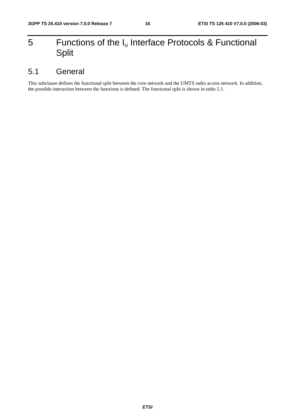# 5 Functions of the  $I_u$  Interface Protocols & Functional Split

# 5.1 General

This subclause defines the functional split between the core network and the UMTS radio access network. In addition, the possible interaction between the functions is defined. The functional split is shown in table 5.1.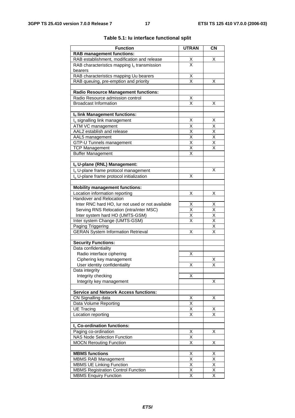| <b>Function</b>                                                                 | <b>UTRAN</b>                    | <b>CN</b>                       |
|---------------------------------------------------------------------------------|---------------------------------|---------------------------------|
| <b>RAB management functions:</b>                                                |                                 |                                 |
| RAB establishment, modification and release                                     |                                 | X                               |
| RAB characteristics mapping $I_u$ transmission                                  | $\frac{\mathsf{x}}{\mathsf{x}}$ |                                 |
| bearers                                                                         |                                 |                                 |
| RAB characteristics mapping Uu bearers                                          | Χ                               |                                 |
| RAB queuing, pre-emption and priority                                           | X                               | X                               |
|                                                                                 |                                 |                                 |
| <b>Radio Resource Management functions:</b><br>Radio Resource admission control |                                 |                                 |
| <b>Broadcast Information</b>                                                    | $\frac{\mathsf{X}}{\mathsf{X}}$ | X                               |
|                                                                                 |                                 |                                 |
| Iu link Management functions:                                                   |                                 |                                 |
| I <sub>u</sub> signalling link management                                       | х                               | х                               |
| ATM VC management                                                               | Χ                               | $\overline{\mathsf{x}}$         |
| AAL2 establish and release                                                      | X                               |                                 |
| AAL5 management                                                                 | $\overline{\mathsf{x}}$         | $\frac{\mathsf{X}}{\mathsf{X}}$ |
| GTP-U Tunnels management                                                        | $\overline{\mathsf{x}}$         | $\overline{\mathsf{x}}$         |
| <b>TCP Management</b>                                                           | $\overline{\mathsf{x}}$         | $\overline{\mathsf{x}}$         |
| <b>Buffer Management</b>                                                        | X                               |                                 |
|                                                                                 |                                 |                                 |
| Iu U-plane (RNL) Management:                                                    |                                 |                                 |
| I <sub>u</sub> U-plane frame protocol management                                |                                 | X                               |
| I <sub>u</sub> U-plane frame protocol initialization                            | х                               |                                 |
| <b>Mobility management functions:</b>                                           |                                 |                                 |
| Location information reporting                                                  | X                               | X                               |
| Handover and Relocation                                                         |                                 |                                 |
| Inter RNC hard HO, lur not used or not available                                | Χ                               | X                               |
| Serving RNS Relocation (intra/inter MSC)                                        | X                               | X                               |
| Inter system hard HO (UMTS-GSM)                                                 | Χ                               | $\overline{\mathsf{x}}$         |
| Inter system Change (UMTS-GSM)                                                  | $\overline{\mathsf{x}}$         | $\overline{\mathsf{x}}$         |
| Paging Triggering                                                               |                                 | $\overline{\mathsf{x}}$         |
| <b>GERAN System Information Retrieval</b>                                       | X                               | $\overline{\mathsf{x}}$         |
| <b>Security Functions:</b>                                                      |                                 |                                 |
| Data confidentiality                                                            |                                 |                                 |
| Radio interface ciphering                                                       | Χ                               |                                 |
| Ciphering key management                                                        |                                 | Х                               |
| User identity confidentiality                                                   | х                               | х                               |
| Data integrity                                                                  |                                 |                                 |
| Integrity checking                                                              | Χ                               |                                 |
| Integrity key management                                                        |                                 | X                               |
|                                                                                 |                                 |                                 |
| <b>Service and Network Access functions:</b>                                    |                                 |                                 |
| CN Signalling data                                                              | Χ                               | Χ                               |
| Data Volume Reporting                                                           | Χ                               |                                 |
| <b>UE Tracing</b>                                                               | $\overline{\mathsf{x}}$         | х                               |
| Location reporting                                                              | $\overline{\mathsf{x}}$         | $\overline{\mathsf{x}}$         |
| I <sub>u</sub> Co-ordination functions:                                         |                                 |                                 |
| Paging co-ordination                                                            | X                               | Χ                               |
| <b>NAS Node Selection Function</b>                                              | $\overline{\mathsf{X}}$         |                                 |
| <b>MOCN Rerouting Function</b>                                                  | $\overline{\mathsf{x}}$         | Χ                               |
|                                                                                 |                                 |                                 |
| <b>MBMS</b> functions                                                           | X                               | х                               |
| <b>MBMS RAB Management</b>                                                      | $\overline{\mathsf{x}}$         | $\overline{\mathsf{x}}$         |
| <b>MBMS UE Linking Function</b>                                                 | Χ                               | Χ                               |
| <b>MBMS Registration Control Function</b>                                       | Χ                               | Χ                               |
| <b>MBMS Enquiry Function</b>                                                    | Χ                               | X                               |

#### **Table 5.1: Iu interface functional split**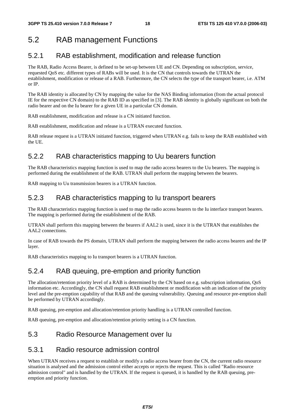# 5.2 RAB management Functions

### 5.2.1 RAB establishment, modification and release function

The RAB, Radio Access Bearer, is defined to be set-up between UE and CN. Depending on subscription, service, requested QoS etc. different types of RABs will be used. It is the CN that controls towards the UTRAN the establishment, modification or release of a RAB. Furthermore, the CN selects the type of the transport bearer, i.e. ATM or IP.

The RAB identity is allocated by CN by mapping the value for the NAS Binding information (from the actual protocol IE for the respective CN domain) to the RAB ID as specified in [3]. The RAB identity is globally significant on both the radio bearer and on the Iu bearer for a given UE in a particular CN domain.

RAB establishment, modification and release is a CN initiated function.

RAB establishment, modification and release is a UTRAN executed function.

RAB release request is a UTRAN initiated function, triggered when UTRAN e.g. fails to keep the RAB established with the UE.

### 5.2.2 RAB characteristics mapping to Uu bearers function

The RAB characteristics mapping function is used to map the radio access bearers to the Uu bearers. The mapping is performed during the establishment of the RAB. UTRAN shall perform the mapping between the bearers.

RAB mapping to Uu transmission bearers is a UTRAN function.

### 5.2.3 RAB characteristics mapping to Iu transport bearers

The RAB characteristics mapping function is used to map the radio access bearers to the Iu interface transport bearers. The mapping is performed during the establishment of the RAB.

UTRAN shall perform this mapping between the bearers if AAL2 is used, since it is the UTRAN that establishes the AAL2 connections.

In case of RAB towards the PS domain, UTRAN shall perform the mapping between the radio access bearers and the IP layer.

RAB characteristics mapping to Iu transport bearers is a UTRAN function.

### 5.2.4 RAB queuing, pre-emption and priority function

The allocation/retention priority level of a RAB is determined by the CN based on e.g. subscription information, QoS information etc. Accordingly, the CN shall request RAB establishment or modification with an indication of the priority level and the pre-emption capability of that RAB and the queuing vulnerability. Queuing and resource pre-emption shall be performed by UTRAN accordingly.

RAB queuing, pre-emption and allocation/retention priority handling is a UTRAN controlled function.

RAB queuing, pre-emption and allocation/retention priority setting is a CN function.

### 5.3 Radio Resource Management over Iu

#### 5.3.1 Radio resource admission control

When UTRAN receives a request to establish or modify a radio access bearer from the CN, the current radio resource situation is analysed and the admission control either accepts or rejects the request. This is called "Radio resource admission control" and is handled by the UTRAN. If the request is queued, it is handled by the RAB queuing, preemption and priority function.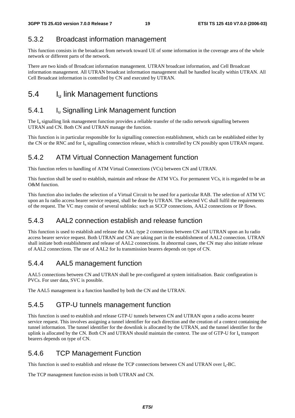### 5.3.2 Broadcast information management

This function consists in the broadcast from network toward UE of some information in the coverage area of the whole network or different parts of the network.

There are two kinds of Broadcast information management. UTRAN broadcast information, and Cell Broadcast information management. All UTRAN broadcast information management shall be handled locally within UTRAN. All Cell Broadcast information is controlled by CN and executed by UTRAN.

# 5.4 I<sub>u</sub> link Management functions

### 5.4.1 **I**<sub>u</sub> Signalling Link Management function

The I<sub>u</sub> signalling link management function provides a reliable transfer of the radio network signalling between UTRAN and CN. Both CN and UTRAN manage the function.

This function is in particular responsible for Iu signalling connection establishment, which can be established either by the CN or the RNC and for  $I_u$  signalling connection release, which is controlled by CN possibly upon UTRAN request.

### 5.4.2 ATM Virtual Connection Management function

This function refers to handling of ATM Virtual Connections (VCs) between CN and UTRAN.

This function shall be used to establish, maintain and release the ATM VCs. For permanent VCs, it is regarded to be an O&M function.

This function also includes the selection of a Virtual Circuit to be used for a particular RAB. The selection of ATM VC upon an Iu radio access bearer service request, shall be done by UTRAN. The selected VC shall fulfil the requirements of the request. The VC may consist of several sublinks: such as SCCP connections, AAL2 connections or IP flows.

### 5.4.3 AAL2 connection establish and release function

This function is used to establish and release the AAL type 2 connections between CN and UTRAN upon an Iu radio access bearer service request. Both UTRAN and CN are taking part in the establishment of AAL2 connection. UTRAN shall initiate both establishment and release of AAL2 connections. In abnormal cases, the CN may also initiate release of AAL2 connections. The use of AAL2 for Iu transmission bearers depends on type of CN.

### 5.4.4 AAL5 management function

AAL5 connections between CN and UTRAN shall be pre-configured at system initialisation. Basic configuration is PVCs. For user data, SVC is possible.

The AAL5 management is a function handled by both the CN and the UTRAN.

#### 5.4.5 GTP-U tunnels management function

This function is used to establish and release GTP-U tunnels between CN and UTRAN upon a radio access bearer service request. This involves assigning a tunnel identifier for each direction and the creation of a context containing the tunnel information. The tunnel identifier for the downlink is allocated by the UTRAN, and the tunnel identifier for the uplink is allocated by the CN. Both CN and UTRAN should maintain the context. The use of GTP-U for I<sub>u</sub> transport bearers depends on type of CN.

#### 5.4.6 TCP Management Function

This function is used to establish and release the TCP connections between CN and UTRAN over Iu-BC.

The TCP management function exists in both UTRAN and CN.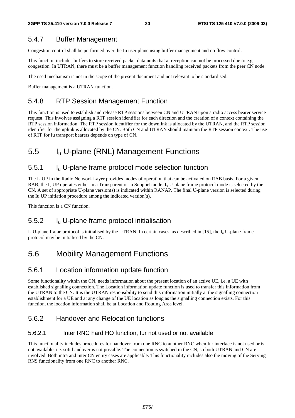### 5.4.7 Buffer Management

Congestion control shall be performed over the Iu user plane using buffer management and no flow control.

This function includes buffers to store received packet data units that at reception can not be processed due to e.g. congestion. In UTRAN, there must be a buffer management function handling received packets from the peer CN node.

The used mechanism is not in the scope of the present document and not relevant to be standardised.

Buffer management is a UTRAN function.

### 5.4.8 RTP Session Management Function

This function is used to establish and release RTP sessions between CN and UTRAN upon a radio access bearer service request. This involves assigning a RTP session identifier for each direction and the creation of a context containing the RTP session information. The RTP session identifier for the downlink is allocated by the UTRAN, and the RTP session identifier for the uplink is allocated by the CN. Both CN and UTRAN should maintain the RTP session context. The use of RTP for Iu transport bearers depends on type of CN.

# 5.5 Iu U-plane (RNL) Management Functions

### 5.5.1 Iu U-plane frame protocol mode selection function

The  $I_{\rm u}$  UP in the Radio Network Layer provides modes of operation that can be activated on RAB basis. For a given RAB, the  $I_{\rm u}$  UP operates either in a Transparent or in Support mode.  $I_{\rm u}$  U-plane frame protocol mode is selected by the CN. A set of appropriate U-plane version(s) is indicated within RANAP. The final U-plane version is selected during the Iu UP initiation procedure among the indicated version(s).

This function is a CN function.

### 5.5.2 Iu U-plane frame protocol initialisation

 $I_{u}$  U-plane frame protocol is initialised by the UTRAN. In certain cases, as described in [15], the  $I_{u}$  U-plane frame protocol may be initialised by the CN.

# 5.6 Mobility Management Functions

### 5.6.1 Location information update function

Some functionality within the CN, needs information about the present location of an active UE, i.e. a UE with established signalling connection. The Location information update function is used to transfer this information from the UTRAN to the CN. It is the UTRAN responsibility to send this information initially at the signalling connection establishment for a UE and at any change of the UE location as long as the signalling connection exists. For this function, the location information shall be at Location and Routing Area level.

### 5.6.2 Handover and Relocation functions

#### 5.6.2.1 Inter RNC hard HO function, Iur not used or not available

This functionality includes procedures for handover from one RNC to another RNC when Iur interface is not used or is not available, i.e. soft handover is not possible. The connection is switched in the CN, so both UTRAN and CN are involved. Both intra and inter CN entity cases are applicable. This functionality includes also the moving of the Serving RNS functionality from one RNC to another RNC.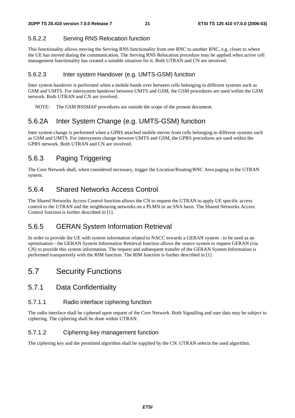#### 5.6.2.2 Serving RNS Relocation function

This functionality allows moving the Serving RNS functionality from one RNC to another RNC, e.g. closer to where the UE has moved during the communication. The Serving RNS Relocation procedure may be applied when active cell management functionality has created a suitable situation for it. Both UTRAN and CN are involved.

#### 5.6.2.3 Inter system Handover (e.g. UMTS-GSM) function

Inter system handover is performed when a mobile hands over between cells belonging to different systems such as GSM and UMTS. For intersystem handover between UMTS and GSM, the GSM procedures are used within the GSM network. Both UTRAN and CN are involved.

NOTE: The GSM BSSMAP procedures are outside the scope of the present document.

### 5.6.2A Inter System Change (e.g. UMTS-GSM) function

Inter system change is performed when a GPRS attached mobile moves from cells belonging to different systems such as GSM and UMTS. For intersystem change between UMTS and GSM, the GPRS procedures are used within the GPRS network. Both UTRAN and CN are involved.

### 5.6.3 Paging Triggering

The Core Network shall, when considered necessary, trigger the Location/Routing/RNC Area paging in the UTRAN system.

### 5.6.4 Shared Networks Access Control

The Shared Networks Access Control function allows the CN to request the UTRAN to apply UE specific access control to the UTRAN and the neighbouring networks on a PLMN or an SNA basis. The Shared Networks Access Control function is further described in [1].

### 5.6.5 GERAN System Information Retrieval

In order to provide the UE with system information related to NACC towards a GERAN system - to be used as an optimisation - the GERAN System Information Retrieval function allows the source system to request GERAN (via CN) to provide this system information. The request and subsequent transfer of the GERAN System Information is performed transparently with the RIM function. The RIM function is further described in [1]

### 5.7 Security Functions

#### 5.7.1 Data Confidentiality

#### 5.7.1.1 Radio interface ciphering function

The radio interface shall be ciphered upon request of the Core Network. Both Signalling and user data may be subject to ciphering. The ciphering shall be done within UTRAN.

#### 5.7.1.2 Ciphering key management function

The ciphering key and the permitted algorithm shall be supplied by the CN. UTRAN selects the used algorithm.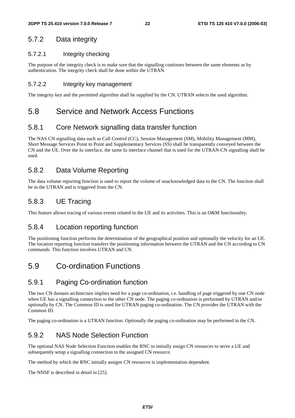### 5.7.2 Data integrity

#### 5.7.2.1 Integrity checking

The purpose of the integrity check is to make sure that the signalling continues between the same elements as by authentication. The integrity check shall be done within the UTRAN.

#### 5.7.2.2 Integrity key management

The integrity key and the permitted algorithm shall be supplied by the CN. UTRAN selects the used algorithm.

### 5.8 Service and Network Access Functions

### 5.8.1 Core Network signalling data transfer function

The NAS CN signalling data such as Call Control (CC), Session Management (SM), Mobility Management (MM), Short Message Services Point to Point and Supplementary Services (SS) shall be transparently conveyed between the CN and the UE. Over the Iu interface, the same Iu interface channel that is used for the UTRAN-CN signalling shall be used.

### 5.8.2 Data Volume Reporting

The data volume reporting function is used to report the volume of unacknowledged data to the CN. The function shall be in the UTRAN and is triggered from the CN.

### 5.8.3 UE Tracing

This feature allows tracing of various events related to the UE and its activities. This is an O&M functionality.

#### 5.8.4 Location reporting function

The positioning function performs the determination of the geographical position and optionally the velocity for an UE. The location reporting function transfers the positioning information between the UTRAN and the CN according to CN commands. This function involves UTRAN and CN.

# 5.9 Co-ordination Functions

### 5.9.1 Paging Co-ordination function

The two CN domain architecture implies need for a page co-ordination, i.e. handling of page triggered by one CN node when UE has a signalling connection to the other CN node. The paging co-ordination is performed by UTRAN and/or optionally by CN. The Common ID is used for UTRAN paging co-ordination. The CN provides the UTRAN with the Common ID.

The paging co-ordination is a UTRAN function. Optionally the paging co-ordination may be performed in the CN.

### 5.9.2 NAS Node Selection Function

The optional NAS Node Selection Function enables the RNC to initially assign CN resources to serve a UE and subsequently setup a signalling connection to the assigned CN resource.

The method by which the RNC initially assigns CN resources is implementation dependent.

The NNSF is described in detail in [25].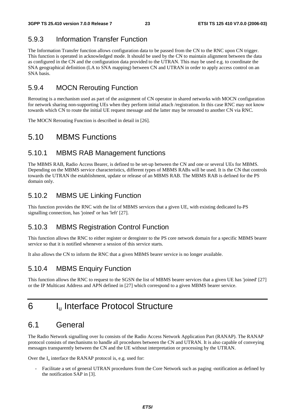### 5.9.3 Information Transfer Function

The Information Transfer function allows configuration data to be passed from the CN to the RNC upon CN trigger. This function is operated in acknowledged mode. It should be used by the CN to maintain alignment between the data as configured in the CN and the configuration data provided to the UTRAN. This may be used e.g. to coordinate the SNA geographical definition (LA to SNA mapping) between CN and UTRAN in order to apply access control on an SNA basis.

### 5.9.4 MOCN Rerouting Function

Rerouting is a mechanism used as part of the assignment of CN operator in shared networks with MOCN configuration for network sharing non-supporting UEs when they perform initial attach /registration. In this case RNC may not know towards which CN to route the initial UE request message and the latter may be rerouted to another CN via RNC.

The MOCN Rerouting Function is described in detail in [26].

### 5.10 MBMS Functions

#### 5.10.1 MBMS RAB Management functions

The MBMS RAB, Radio Access Bearer, is defined to be set-up between the CN and one or several UEs for MBMS. Depending on the MBMS service characteristics, different types of MBMS RABs will be used. It is the CN that controls towards the UTRAN the establishment, update or release of an MBMS RAB. The MBMS RAB is defined for the PS domain only.

### 5.10.2 MBMS UE Linking Function

This function provides the RNC with the list of MBMS services that a given UE, with existing dedicated Iu-PS signalling connection, has 'joined' or has 'left' [27].

### 5.10.3 MBMS Registration Control Function

This function allows the RNC to either register or deregister to the PS core network domain for a specific MBMS bearer service so that it is notified whenever a session of this service starts.

It also allows the CN to inform the RNC that a given MBMS bearer service is no longer available.

### 5.10.4 MBMS Enquiry Function

This function allows the RNC to request to the SGSN the list of MBMS bearer services that a given UE has 'joined' [27] or the IP Multicast Address and APN defined in [27] which correspond to a given MBMS bearer service.

# 6 Iu Interface Protocol Structure

# 6.1 General

The Radio Network signalling over Iu consists of the Radio Access Network Application Part (RANAP). The RANAP protocol consists of mechanisms to handle all procedures between the CN and UTRAN. It is also capable of conveying messages transparently between the CN and the UE without interpretation or processing by the UTRAN.

Over the  $I_u$  interface the RANAP protocol is, e.g. used for:

- Facilitate a set of general UTRAN procedures from the Core Network such as paging -notification as defined by the notification SAP in [3].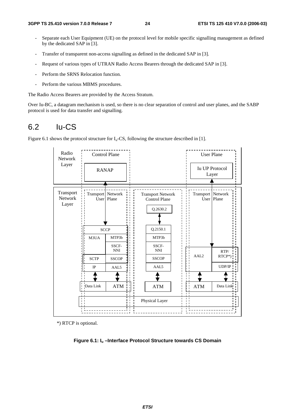- Separate each User Equipment (UE) on the protocol level for mobile specific signalling management as defined by the dedicated SAP in [3].
- Transfer of transparent non-access signalling as defined in the dedicated SAP in [3].
- Request of various types of UTRAN Radio Access Bearers through the dedicated SAP in [3].
- Perform the SRNS Relocation function.
- Perform the various MBMS procedures.

The Radio Access Bearers are provided by the Access Stratum.

Over Iu-BC, a datagram mechanism is used, so there is no clear separation of control and user planes, and the SABP protocol is used for data transfer and signalling.

### 6.2 Iu-CS

Figure 6.1 shows the protocol structure for  $I_u$ -CS, following the structure described in [1].



\*) RTCP is optional.

**Figure 6.1: Iu –Interface Protocol Structure towards CS Domain**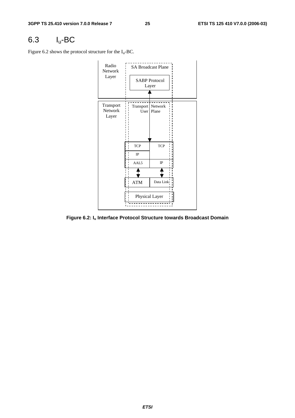# 6.3 Iu-BC

Figure 6.2 shows the protocol structure for the  $I_u$ -BC.



**Figure 6.2: Iu Interface Protocol Structure towards Broadcast Domain**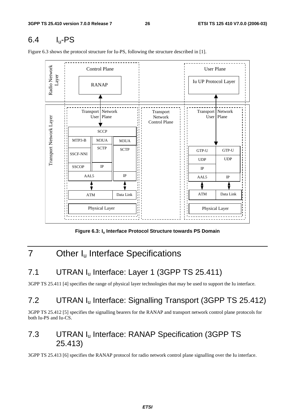# 6.4 Iu-PS

Figure 6.3 shows the protocol structure for Iu-PS, following the structure described in [1].



Figure 6.3: I<sub>u</sub> Interface Protocol Structure towards PS Domain

# 7 Other I<sub>u</sub> Interface Specifications

# 7.1 UTRAN I<sub>u</sub> Interface: Layer 1 (3GPP TS 25.411)

3GPP TS 25.411 [4] specifies the range of physical layer technologies that may be used to support the Iu interface.

# 7.2 UTRAN Iu Interface: Signalling Transport (3GPP TS 25.412)

3GPP TS 25.412 [5] specifies the signalling bearers for the RANAP and transport network control plane protocols for both Iu-PS and Iu-CS.

# 7.3 UTRAN Iu Interface: RANAP Specification (3GPP TS 25.413)

3GPP TS 25.413 [6] specifies the RANAP protocol for radio network control plane signalling over the Iu interface.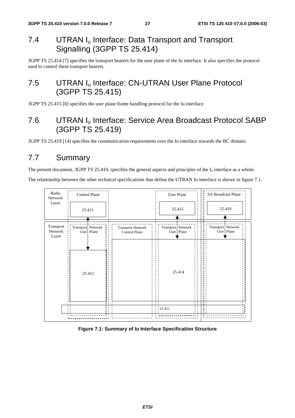# 7.4 UTRAN I<sub>u</sub> Interface: Data Transport and Transport Signalling (3GPP TS 25.414)

3GPP TS 25.414 [7] specifies the transport bearers for the user plane of the Iu interface. It also specifies the protocol used to control these transport bearers.

# 7.5 UTRAN I<sub>u</sub> Interface: CN-UTRAN User Plane Protocol (3GPP TS 25.415)

3GPP TS 25.415 [8] specifies the user plane frame handling protocol for the Iu interface.

# 7.6 UTRAN Iu Interface: Service Area Broadcast Protocol SABP (3GPP TS 25.419)

3GPP TS 25.419 [14] specifies the communication requirements over the Iu interface towards the BC domain.

# 7.7 Summary

The present document, 3GPP TS 25.410, specifies the general aspects and principles of the  $I_u$  interface as a whole.

The relationship between the other technical specifications that define the UTRAN Iu interface is shown in figure 7.1.



#### **Figure 7.1: Summary of Iu Interface Specification Structure**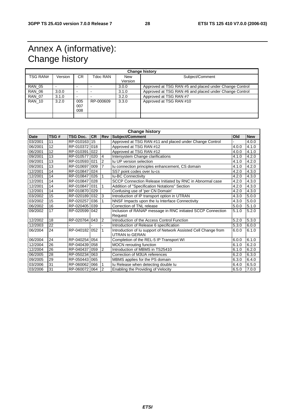# Annex A (informative): Change history

| <b>Change history</b> |         |                   |           |                       |                                                        |  |
|-----------------------|---------|-------------------|-----------|-----------------------|--------------------------------------------------------|--|
| TSG RAN#              | Version | CR.               | Tdoc RAN  | <b>New</b><br>Version | Subject/Comment                                        |  |
| <b>RAN 05</b>         |         | -                 |           | 3.0.0                 | Approved at TSG RAN #5 and placed under Change Control |  |
| RAN 06                | 3.0.0   | -                 |           | 3.1.0                 | Approved at TSG RAN #6 and placed under Change Control |  |
| <b>RAN 07</b>         | 3.1.0   |                   |           | 3.2.0                 | Approved at TSG RAN #7                                 |  |
| <b>RAN 10</b>         | 3.2.0   | 005<br>007<br>008 | RP-000609 | 3.3.0                 | Approved at TSG RAN #10                                |  |
|                       |         |                   |           |                       |                                                        |  |

| <b>Change history</b> |                 |                 |           |                |                                                                                          |       |            |
|-----------------------|-----------------|-----------------|-----------|----------------|------------------------------------------------------------------------------------------|-------|------------|
| <b>Date</b>           | TSG#            | <b>TSG Doc.</b> | <b>CR</b> |                | <b>Rev Subject/Comment</b>                                                               | Old   | <b>New</b> |
| 03/2001               | 11              | RP-010163       | 15        |                | Approved at TSG RAN #11 and placed under Change Control                                  |       | 4.0.0      |
| 06/2001               | 12              | RP-010372 018   |           |                | Approved at TSG RAN #12                                                                  | 4.0.0 | 4.1.0      |
| 06/2001               | 12              | RP-010391       | 022       |                | Approved at TSG RAN #12                                                                  | 4.0.0 | 4.1.0      |
| 09/2001               | 13              | RP-010577       | 020       | 4              | Intersystem Change clarifications                                                        | 4.1.0 | 4.2.0      |
| 09/2001               | 13              | RP-010593 021   |           | $\overline{2}$ | Iu UP version selection                                                                  | 4.1.0 | 4.2.0      |
| 09/2001               | 13              | RP-010697       | 009       | $\overline{7}$ | lu connection principles enhancement, CS domain                                          | 4.1.0 | 4.2.0      |
| 12/2001               | 14              | RP-0108471024   |           |                | SS7 point codes over lu-cs                                                               | 4.2.0 | 4.3.0      |
| 12/2001               | 14              | RP-010847       | 026       |                | <b>Iu-BC Connectivity</b>                                                                | 4.2.0 | 4.3.0      |
| 12/2001               | 14              | RP-010847 028   |           |                | SCCP Connection Release Initiated by RNC in Abnormal case                                | 4.2.0 | 4.3.0      |
| 12/2001               | 14              | RP-010847       | 031       | 1              | Addition of "Specification Notations" Section                                            | 4.2.0 | 4.3.0      |
| 12/2001               | 14              | RP-010870       | 029       |                | Confusing use of 'per CN Domain'                                                         | 4.2.0 | 4.3.0      |
| 03/2002               | $\overline{15}$ | RP-0201891032   |           | 3              | Introduction of IP transport option in UTRAN                                             | 4.3.0 | 5.0.0      |
| 03/2002               | 15              | RP-020257       | 036       |                | NNSF Impacts upon the Iu Interface Connectivity                                          | 4.3.0 | 5.0.0      |
| 06/2002               | 16              | RP-020405 039   |           |                | Correction of TNL release                                                                | 5.0.0 | 5.1.0      |
| 09/2002               | 17              | RP-020599       | 042       |                | Inclusion of RANAP message in RNC initiated SCCP Connection<br>Request                   | 5.1.0 | 5.2.0      |
| 12/2002               | 18              | RP-020764       | 043       | 2              | Introduction of the Access Control Function                                              | 5.2.0 | 5.3.0      |
| 12/2003               | 22              |                 |           |                | Introduction of Release 6 specification                                                  | 5.3.0 | 6.0.0      |
| 06/2004               | 24              | RP-040182       | 052       | 1              | Introduction of Iu support of Network Assisted Cell Change from<br><b>UTRAN to GERAN</b> | 6.0.0 | 6.1.0      |
| 06/2004               | 24              | RP-040254       | 054       |                | Completion of the REL-5 IP Transport WI                                                  | 6.0.0 | 6.1.0      |
| 12/2004               | 26              | RP-040439 058   |           |                | <b>MOCN</b> rerouting function                                                           | 6.1.0 | 6.2.0      |
| 12/2004               | 26              | RP-040437       | 059       | $\mathcal{P}$  | Introduction of MBMS in TS25410                                                          | 6.1.0 | 6.2.0      |
| 06/2005               | 28              | RP-050234       | 063       |                | Correction of M3UA references                                                            | 6.2.0 | 6.3.0      |
| 09/2005               | 29              | RP-050443 065   |           |                | MBMS applies for the PS domain                                                           | 6.3.0 | 6.4.0      |
| 03/2006               | 31              | RP-060062       | 066       |                |                                                                                          | 6.4.0 | 6.5.0      |
|                       | 31              | RP-0600721064   |           |                | Iu Release when detecting double lu                                                      | 6.5.0 |            |
| 03/2006               |                 |                 |           | 2              | Enabling the Providing of Velocity                                                       |       | 7.0.0      |